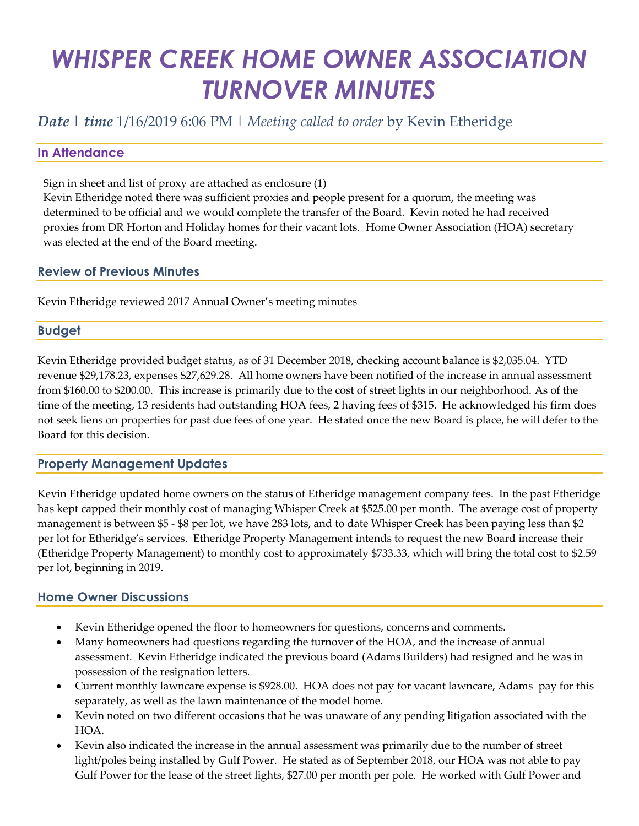# *WHISPER CREEK HOME OWNER ASSOCIATION TURNOVER MINUTES*

### *Date | time* 1/16/2019 6:06 PM | *Meeting called to order* by Kevin Etheridge

#### **In Attendance**

Sign in sheet and list of proxy are attached as enclosure (1)

Kevin Etheridge noted there was sufficient proxies and people present for a quorum, the meeting was determined to be official and we would complete the transfer of the Board. Kevin noted he had received proxies from DR Horton and Holiday homes for their vacant lots. Home Owner Association (HOA) secretary was elected at the end of the Board meeting.

#### **Review of Previous Minutes**

Kevin Etheridge reviewed 2017 Annual Owner's meeting minutes

#### **Budget**

Kevin Etheridge provided budget status, as of 31 December 2018, checking account balance is \$2,035.04. YTD revenue \$29,178.23, expenses \$27,629.28. All home owners have been notified of the increase in annual assessment from \$160.00 to \$200.00. This increase is primarily due to the cost of street lights in our neighborhood. As of the time of the meeting, 13 residents had outstanding HOA fees, 2 having fees of \$315. He acknowledged his firm does not seek liens on properties for past due fees of one year. He stated once the new Board is place, he will defer to the Board for this decision.

#### **Property Management Updates**

Kevin Etheridge updated home owners on the status of Etheridge management company fees. In the past Etheridge has kept capped their monthly cost of managing Whisper Creek at \$525.00 per month. The average cost of property management is between \$5 - \$8 per lot, we have 283 lots, and to date Whisper Creek has been paying less than \$2 per lot for Etheridge's services. Etheridge Property Management intends to request the new Board increase their (Etheridge Property Management) to monthly cost to approximately \$733.33, which will bring the total cost to \$2.59 per lot, beginning in 2019.

#### **Home Owner Discussions**

- Kevin Etheridge opened the floor to homeowners for questions, concerns and comments.
- Many homeowners had questions regarding the turnover of the HOA, and the increase of annual assessment. Kevin Etheridge indicated the previous board (Adams Builders) had resigned and he was in possession of the resignation letters.
- Current monthly lawncare expense is \$928.00. HOA does not pay for vacant lawncare, Adams pay for this separately, as well as the lawn maintenance of the model home.
- Kevin noted on two different occasions that he was unaware of any pending litigation associated with the HOA.
- Kevin also indicated the increase in the annual assessment was primarily due to the number of street light/poles being installed by Gulf Power. He stated as of September 2018, our HOA was not able to pay Gulf Power for the lease of the street lights, \$27.00 per month per pole. He worked with Gulf Power and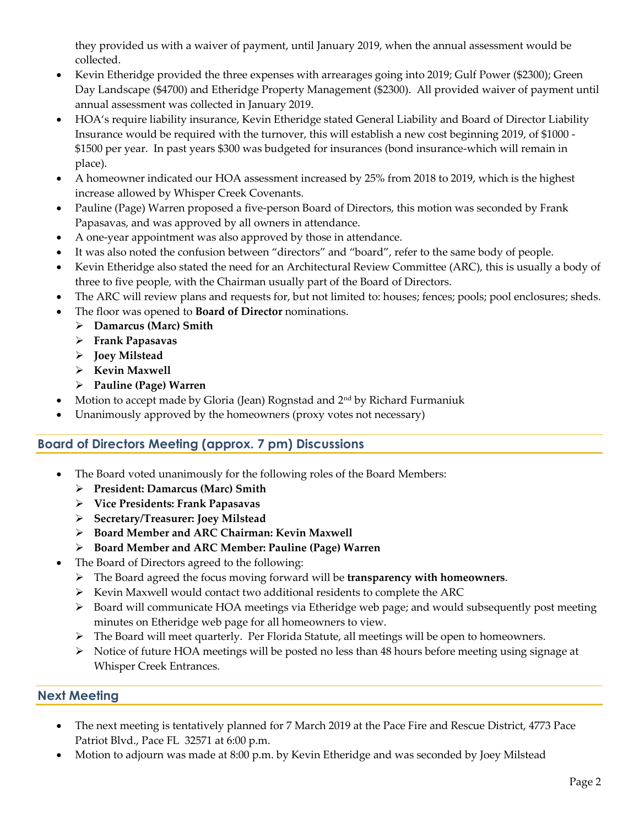they provided us with a waiver of payment, until January 2019, when the annual assessment would be collected.

- Kevin Etheridge provided the three expenses with arrearages going into 2019; Gulf Power (\$2300); Green Day Landscape (\$4700) and Etheridge Property Management (\$2300). All provided waiver of payment until annual assessment was collected in January 2019.
- HOA's require liability insurance, Kevin Etheridge stated General Liability and Board of Director Liability Insurance would be required with the turnover, this will establish a new cost beginning 2019, of \$1000 - \$1500 per year. In past years \$300 was budgeted for insurances (bond insurance-which will remain in place).
- A homeowner indicated our HOA assessment increased by 25% from 2018 to 2019, which is the highest increase allowed by Whisper Creek Covenants.
- Pauline (Page) Warren proposed a five-person Board of Directors, this motion was seconded by Frank Papasavas, and was approved by all owners in attendance.
- A one-year appointment was also approved by those in attendance.
- It was also noted the confusion between "directors" and "board", refer to the same body of people.
- Kevin Etheridge also stated the need for an Architectural Review Committee (ARC), this is usually a body of three to five people, with the Chairman usually part of the Board of Directors.
- The ARC will review plans and requests for, but not limited to: houses; fences; pools; pool enclosures; sheds.
- The floor was opened to **Board of Director** nominations.
	- ➢ **Damarcus (Marc) Smith**
	- ➢ **Frank Papasavas**
	- ➢ **Joey Milstead**
	- ➢ **Kevin Maxwell**
	- ➢ **Pauline (Page) Warren**
- Motion to accept made by Gloria (Jean) Rognstad and  $2<sup>nd</sup>$  by Richard Furmaniuk
- Unanimously approved by the homeowners (proxy votes not necessary)

#### **Board of Directors Meeting (approx. 7 pm) Discussions**

- The Board voted unanimously for the following roles of the Board Members:
	- ➢ **President: Damarcus (Marc) Smith**
	- ➢ **Vice Presidents: Frank Papasavas**
	- ➢ **Secretary/Treasurer: Joey Milstead**
	- ➢ **Board Member and ARC Chairman: Kevin Maxwell**
	- ➢ **Board Member and ARC Member: Pauline (Page) Warren**
- The Board of Directors agreed to the following:
	- ➢ The Board agreed the focus moving forward will be **transparency with homeowners**.
	- ➢ Kevin Maxwell would contact two additional residents to complete the ARC
	- $\triangleright$  Board will communicate HOA meetings via Etheridge web page; and would subsequently post meeting minutes on Etheridge web page for all homeowners to view.
	- ➢ The Board will meet quarterly. Per Florida Statute, all meetings will be open to homeowners.
	- ➢ Notice of future HOA meetings will be posted no less than 48 hours before meeting using signage at Whisper Creek Entrances.

#### **Next Meeting**

- The next meeting is tentatively planned for 7 March 2019 at the Pace Fire and Rescue District, 4773 Pace Patriot Blvd., Pace FL 32571 at 6:00 p.m.
- Motion to adjourn was made at 8:00 p.m. by Kevin Etheridge and was seconded by Joey Milstead